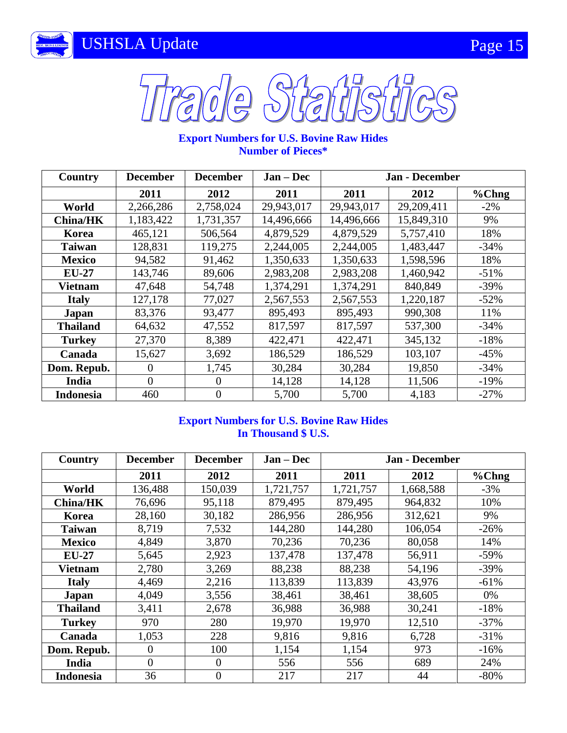



# **Export Numbers for U.S. Bovine Raw Hides Number of Pieces\***

| Country          | <b>December</b> | <b>December</b> | $Jan - Dec$ | <b>Jan - December</b> |            |          |
|------------------|-----------------|-----------------|-------------|-----------------------|------------|----------|
|                  | 2011            | 2012            | 2011        | 2011                  | 2012       | $% Chng$ |
| World            | 2,266,286       | 2,758,024       | 29,943,017  | 29,943,017            | 29,209,411 | $-2\%$   |
| <b>China/HK</b>  | 1,183,422       | 1,731,357       | 14,496,666  | 14,496,666            | 15,849,310 | 9%       |
| Korea            | 465,121         | 506,564         | 4,879,529   | 4,879,529             | 5,757,410  | 18%      |
| <b>Taiwan</b>    | 128,831         | 119,275         | 2,244,005   | 2,244,005             | 1,483,447  | $-34\%$  |
| <b>Mexico</b>    | 94,582          | 91,462          | 1,350,633   | 1,350,633             | 1,598,596  | 18%      |
| $EU-27$          | 143,746         | 89,606          | 2,983,208   | 2,983,208             | 1,460,942  | $-51%$   |
| Vietnam          | 47,648          | 54,748          | 1,374,291   | 1,374,291             | 840,849    | $-39%$   |
| <b>Italy</b>     | 127,178         | 77,027          | 2,567,553   | 2,567,553             | 1,220,187  | $-52%$   |
| <b>Japan</b>     | 83,376          | 93,477          | 895,493     | 895,493               | 990,308    | 11%      |
| <b>Thailand</b>  | 64,632          | 47,552          | 817,597     | 817,597               | 537,300    | $-34\%$  |
| <b>Turkey</b>    | 27,370          | 8,389           | 422,471     | 422,471               | 345,132    | $-18%$   |
| Canada           | 15,627          | 3,692           | 186,529     | 186,529               | 103,107    | $-45%$   |
| Dom. Repub.      | $\theta$        | 1,745           | 30,284      | 30,284                | 19,850     | $-34\%$  |
| India            | $\Omega$        | 0               | 14,128      | 14,128                | 11,506     | $-19%$   |
| <b>Indonesia</b> | 460             | $\theta$        | 5,700       | 5,700                 | 4,183      | $-27%$   |

## **Export Numbers for U.S. Bovine Raw Hides In Thousand \$ U.S.**

| Country          | <b>December</b> | <b>December</b> | $Jan - Dec$ | <b>Jan - December</b> |           |        |
|------------------|-----------------|-----------------|-------------|-----------------------|-----------|--------|
|                  | 2011            | 2012            | 2011        | 2011                  | 2012      | %Chng  |
| World            | 136,488         | 150,039         | 1,721,757   | 1,721,757             | 1,668,588 | $-3\%$ |
| <b>China/HK</b>  | 76,696          | 95,118          | 879,495     | 879,495               | 964,832   | 10%    |
| Korea            | 28,160          | 30,182          | 286,956     | 286,956               | 312,621   | 9%     |
| <b>Taiwan</b>    | 8,719           | 7,532           | 144,280     | 144,280               | 106,054   | $-26%$ |
| <b>Mexico</b>    | 4,849           | 3,870           | 70,236      | 70,236                | 80,058    | 14%    |
| <b>EU-27</b>     | 5,645           | 2,923           | 137,478     | 137,478               | 56,911    | $-59%$ |
| <b>Vietnam</b>   | 2,780           | 3,269           | 88,238      | 88,238                | 54,196    | $-39%$ |
| <b>Italy</b>     | 4,469           | 2,216           | 113,839     | 113,839               | 43,976    | $-61%$ |
| <b>Japan</b>     | 4,049           | 3,556           | 38,461      | 38,461                | 38,605    | $0\%$  |
| <b>Thailand</b>  | 3,411           | 2,678           | 36,988      | 36,988                | 30,241    | $-18%$ |
| <b>Turkey</b>    | 970             | 280             | 19,970      | 19,970                | 12,510    | $-37%$ |
| Canada           | 1,053           | 228             | 9,816       | 9,816                 | 6,728     | $-31%$ |
| Dom. Repub.      | $\overline{0}$  | 100             | 1,154       | 1,154                 | 973       | $-16%$ |
| India            | $\overline{0}$  | $\theta$        | 556         | 556                   | 689       | 24%    |
| <b>Indonesia</b> | 36              | $\overline{0}$  | 217         | 217                   | 44        | $-80%$ |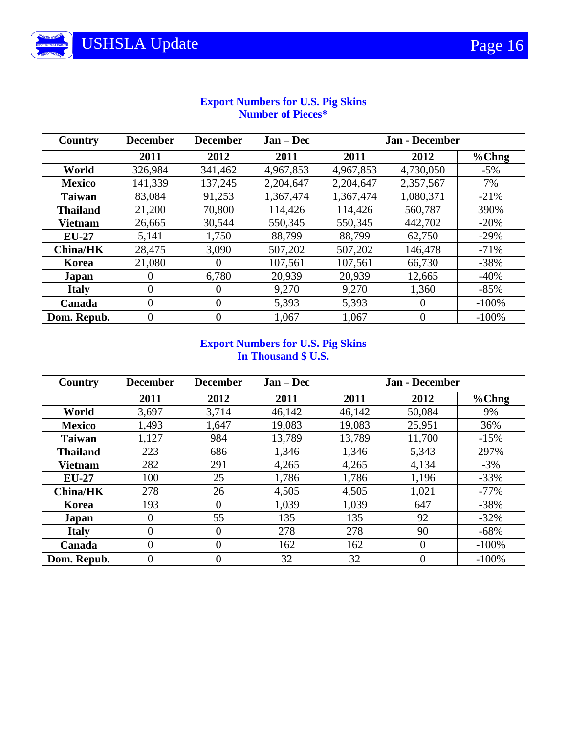| Country         | <b>December</b> | <b>December</b> | $Jan - Dec$ | <b>Jan - December</b> |           |         |
|-----------------|-----------------|-----------------|-------------|-----------------------|-----------|---------|
|                 | 2011            | 2012            | 2011        | 2011                  | 2012      | %Chng   |
| World           | 326,984         | 341,462         | 4,967,853   | 4,967,853             | 4,730,050 | $-5%$   |
| <b>Mexico</b>   | 141,339         | 137,245         | 2,204,647   | 2,204,647             | 2,357,567 | 7%      |
| <b>Taiwan</b>   | 83,084          | 91,253          | 1,367,474   | 1,367,474             | 1,080,371 | $-21%$  |
| <b>Thailand</b> | 21,200          | 70,800          | 114,426     | 114,426               | 560,787   | 390%    |
| <b>Vietnam</b>  | 26,665          | 30,544          | 550,345     | 550,345               | 442,702   | $-20%$  |
| $EU-27$         | 5,141           | 1,750           | 88,799      | 88,799                | 62,750    | $-29%$  |
| <b>China/HK</b> | 28,475          | 3,090           | 507,202     | 507,202               | 146,478   | $-71%$  |
| Korea           | 21,080          | $\theta$        | 107,561     | 107,561               | 66,730    | $-38%$  |
| Japan           | $\theta$        | 6,780           | 20,939      | 20,939                | 12,665    | $-40%$  |
| <b>Italy</b>    | $\overline{0}$  | $\Omega$        | 9,270       | 9,270                 | 1,360     | $-85%$  |
| Canada          | $\overline{0}$  | $\Omega$        | 5,393       | 5,393                 | $\Omega$  | $-100%$ |
| Dom. Repub.     | $\theta$        | 0               | 1,067       | 1,067                 | $\theta$  | $-100%$ |

## **Export Numbers for U.S. Pig Skins Number of Pieces\***

#### **Export Numbers for U.S. Pig Skins In Thousand \$ U.S.**

| Country         | <b>December</b> | <b>December</b> | $Jan - Dec$ | Jan - December |          |         |
|-----------------|-----------------|-----------------|-------------|----------------|----------|---------|
|                 | 2011            | 2012            | 2011        | 2011           | 2012     | %Chng   |
| World           | 3,697           | 3,714           | 46,142      | 46,142         | 50,084   | 9%      |
| <b>Mexico</b>   | 1,493           | 1,647           | 19,083      | 19,083         | 25,951   | 36%     |
| <b>Taiwan</b>   | 1,127           | 984             | 13,789      | 13,789         | 11,700   | $-15%$  |
| <b>Thailand</b> | 223             | 686             | 1,346       | 1,346          | 5,343    | 297%    |
| <b>Vietnam</b>  | 282             | 291             | 4,265       | 4,265          | 4,134    | $-3\%$  |
| $EU-27$         | 100             | 25              | 1,786       | 1,786          | 1,196    | $-33%$  |
| <b>China/HK</b> | 278             | 26              | 4,505       | 4,505          | 1,021    | $-77%$  |
| Korea           | 193             | 0               | 1,039       | 1,039          | 647      | $-38%$  |
| Japan           | $\Omega$        | 55              | 135         | 135            | 92       | $-32%$  |
| <b>Italy</b>    | $\theta$        | 0               | 278         | 278            | 90       | $-68%$  |
| Canada          | $\theta$        | $\theta$        | 162         | 162            | $\Omega$ | $-100%$ |
| Dom. Repub.     | $\Omega$        | 0               | 32          | 32             | 0        | $-100%$ |